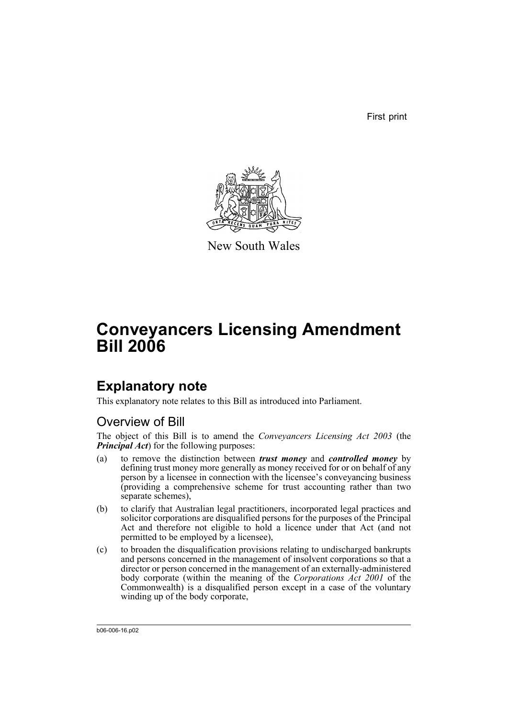First print



New South Wales

# **Conveyancers Licensing Amendment Bill 2006**

# **Explanatory note**

This explanatory note relates to this Bill as introduced into Parliament.

# Overview of Bill

The object of this Bill is to amend the *Conveyancers Licensing Act 2003* (the *Principal Act*) for the following purposes:

- (a) to remove the distinction between *trust money* and *controlled money* by defining trust money more generally as money received for or on behalf of any person by a licensee in connection with the licensee's conveyancing business (providing a comprehensive scheme for trust accounting rather than two separate schemes),
- (b) to clarify that Australian legal practitioners, incorporated legal practices and solicitor corporations are disqualified persons for the purposes of the Principal Act and therefore not eligible to hold a licence under that Act (and not permitted to be employed by a licensee),
- (c) to broaden the disqualification provisions relating to undischarged bankrupts and persons concerned in the management of insolvent corporations so that a director or person concerned in the management of an externally-administered body corporate (within the meaning of the *Corporations Act 2001* of the Commonwealth) is a disqualified person except in a case of the voluntary winding up of the body corporate,

b06-006-16.p02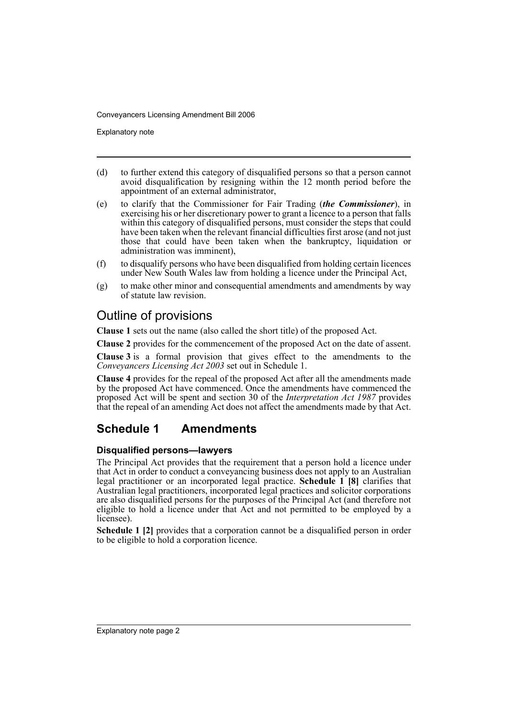Explanatory note

- (d) to further extend this category of disqualified persons so that a person cannot avoid disqualification by resigning within the 12 month period before the appointment of an external administrator,
- (e) to clarify that the Commissioner for Fair Trading (*the Commissioner*), in exercising his or her discretionary power to grant a licence to a person that falls within this category of disqualified persons, must consider the steps that could have been taken when the relevant financial difficulties first arose (and not just those that could have been taken when the bankruptcy, liquidation or administration was imminent),
- (f) to disqualify persons who have been disqualified from holding certain licences under New South Wales law from holding a licence under the Principal Act,
- (g) to make other minor and consequential amendments and amendments by way of statute law revision.

# Outline of provisions

**Clause 1** sets out the name (also called the short title) of the proposed Act.

**Clause 2** provides for the commencement of the proposed Act on the date of assent.

**Clause 3** is a formal provision that gives effect to the amendments to the *Conveyancers Licensing Act 2003* set out in Schedule 1.

**Clause 4** provides for the repeal of the proposed Act after all the amendments made by the proposed Act have commenced. Once the amendments have commenced the proposed Act will be spent and section 30 of the *Interpretation Act 1987* provides that the repeal of an amending Act does not affect the amendments made by that Act.

# **Schedule 1 Amendments**

## **Disqualified persons—lawyers**

The Principal Act provides that the requirement that a person hold a licence under that Act in order to conduct a conveyancing business does not apply to an Australian legal practitioner or an incorporated legal practice. **Schedule 1 [8]** clarifies that Australian legal practitioners, incorporated legal practices and solicitor corporations are also disqualified persons for the purposes of the Principal Act (and therefore not eligible to hold a licence under that Act and not permitted to be employed by a licensee).

**Schedule 1 [2]** provides that a corporation cannot be a disqualified person in order to be eligible to hold a corporation licence.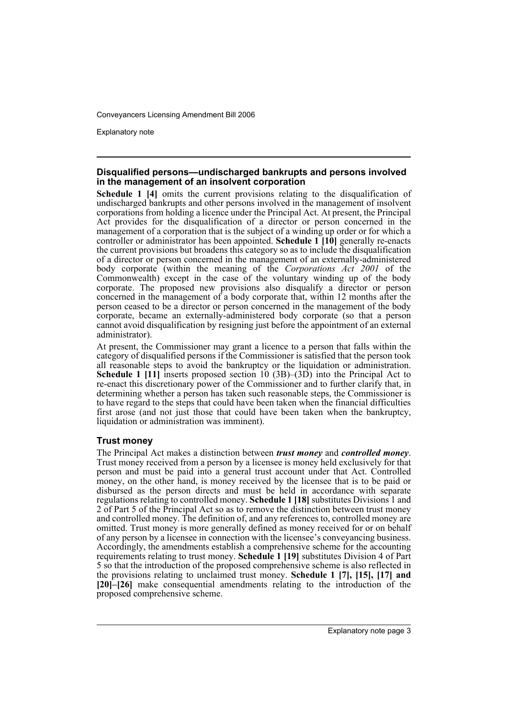Explanatory note

## **Disqualified persons—undischarged bankrupts and persons involved in the management of an insolvent corporation**

**Schedule 1 [4]** omits the current provisions relating to the disqualification of undischarged bankrupts and other persons involved in the management of insolvent corporations from holding a licence under the Principal Act. At present, the Principal Act provides for the disqualification of a director or person concerned in the management of a corporation that is the subject of a winding up order or for which a controller or administrator has been appointed. **Schedule 1 [10]** generally re-enacts the current provisions but broadens this category so as to include the disqualification of a director or person concerned in the management of an externally-administered body corporate (within the meaning of the *Corporations Act 2001* of the Commonwealth) except in the case of the voluntary winding up of the body corporate. The proposed new provisions also disqualify a director or person concerned in the management of a body corporate that, within 12 months after the person ceased to be a director or person concerned in the management of the body corporate, became an externally-administered body corporate (so that a person cannot avoid disqualification by resigning just before the appointment of an external administrator).

At present, the Commissioner may grant a licence to a person that falls within the category of disqualified persons if the Commissioner is satisfied that the person took all reasonable steps to avoid the bankruptcy or the liquidation or administration. **Schedule 1 [11]** inserts proposed section 10 (3B)–(3D) into the Principal Act to re-enact this discretionary power of the Commissioner and to further clarify that, in determining whether a person has taken such reasonable steps, the Commissioner is to have regard to the steps that could have been taken when the financial difficulties first arose (and not just those that could have been taken when the bankruptcy, liquidation or administration was imminent).

## **Trust money**

The Principal Act makes a distinction between *trust money* and *controlled money*. Trust money received from a person by a licensee is money held exclusively for that person and must be paid into a general trust account under that Act. Controlled money, on the other hand, is money received by the licensee that is to be paid or disbursed as the person directs and must be held in accordance with separate regulations relating to controlled money. **Schedule 1 [18]** substitutes Divisions 1 and 2 of Part 5 of the Principal Act so as to remove the distinction between trust money and controlled money. The definition of, and any references to, controlled money are omitted. Trust money is more generally defined as money received for or on behalf of any person by a licensee in connection with the licensee's conveyancing business. Accordingly, the amendments establish a comprehensive scheme for the accounting requirements relating to trust money. **Schedule 1 [19]** substitutes Division 4 of Part 5 so that the introduction of the proposed comprehensive scheme is also reflected in the provisions relating to unclaimed trust money. **Schedule 1 [7], [15], [17] and [20]–[26]** make consequential amendments relating to the introduction of the proposed comprehensive scheme.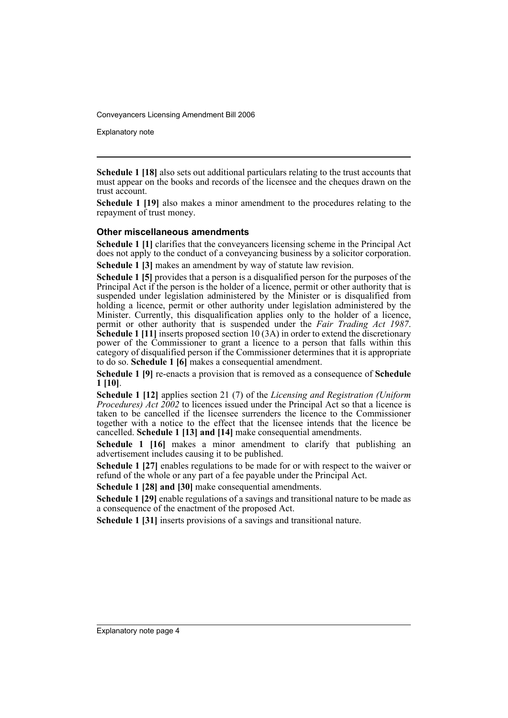Explanatory note

**Schedule 1 [18]** also sets out additional particulars relating to the trust accounts that must appear on the books and records of the licensee and the cheques drawn on the trust account.

**Schedule 1 [19]** also makes a minor amendment to the procedures relating to the repayment of trust money.

### **Other miscellaneous amendments**

**Schedule 1 [1]** clarifies that the conveyancers licensing scheme in the Principal Act does not apply to the conduct of a conveyancing business by a solicitor corporation.

**Schedule 1 [3]** makes an amendment by way of statute law revision.

**Schedule 1 [5]** provides that a person is a disqualified person for the purposes of the Principal Act if the person is the holder of a licence, permit or other authority that is suspended under legislation administered by the Minister or is disqualified from holding a licence, permit or other authority under legislation administered by the Minister. Currently, this disqualification applies only to the holder of a licence, permit or other authority that is suspended under the *Fair Trading Act 1987*. **Schedule 1 [11]** inserts proposed section 10 (3A) in order to extend the discretionary power of the Commissioner to grant a licence to a person that falls within this category of disqualified person if the Commissioner determines that it is appropriate to do so. **Schedule 1 [6]** makes a consequential amendment.

**Schedule 1 [9]** re-enacts a provision that is removed as a consequence of **Schedule 1 [10]**.

**Schedule 1 [12]** applies section 21 (7) of the *Licensing and Registration (Uniform Procedures) Act 2002* to licences issued under the Principal Act so that a licence is taken to be cancelled if the licensee surrenders the licence to the Commissioner together with a notice to the effect that the licensee intends that the licence be cancelled. **Schedule 1 [13] and [14]** make consequential amendments.

**Schedule 1 [16]** makes a minor amendment to clarify that publishing an advertisement includes causing it to be published.

**Schedule 1 [27]** enables regulations to be made for or with respect to the waiver or refund of the whole or any part of a fee payable under the Principal Act.

**Schedule 1 [28] and [30]** make consequential amendments.

**Schedule 1 [29]** enable regulations of a savings and transitional nature to be made as a consequence of the enactment of the proposed Act.

**Schedule 1 [31]** inserts provisions of a savings and transitional nature.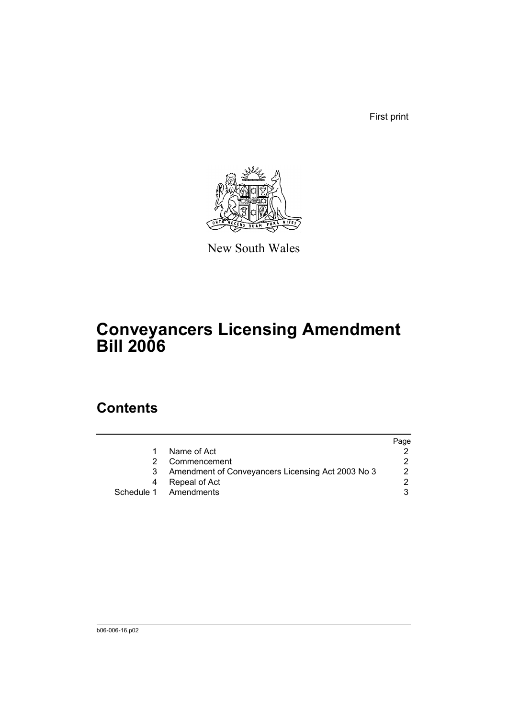First print



New South Wales

# **Conveyancers Licensing Amendment Bill 2006**

# **Contents**

|                                                   | Page |
|---------------------------------------------------|------|
| Name of Act                                       |      |
| Commencement                                      |      |
| Amendment of Conveyancers Licensing Act 2003 No 3 |      |
| Repeal of Act                                     |      |
| Schedule 1 Amendments                             |      |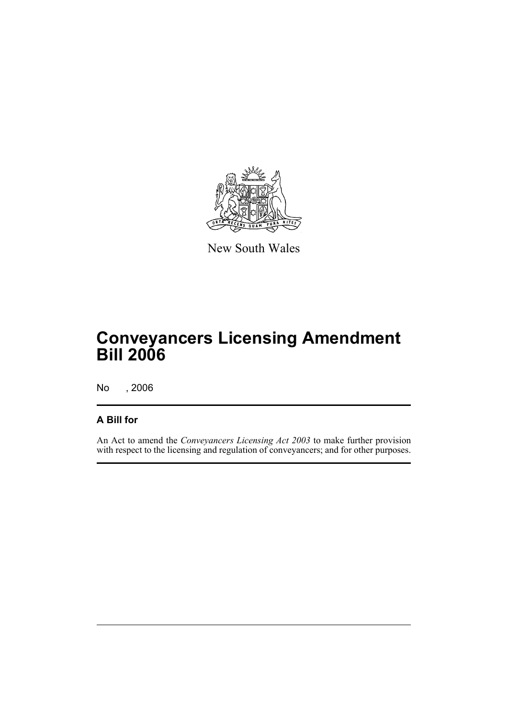

New South Wales

# **Conveyancers Licensing Amendment Bill 2006**

No , 2006

## **A Bill for**

An Act to amend the *Conveyancers Licensing Act 2003* to make further provision with respect to the licensing and regulation of conveyancers; and for other purposes.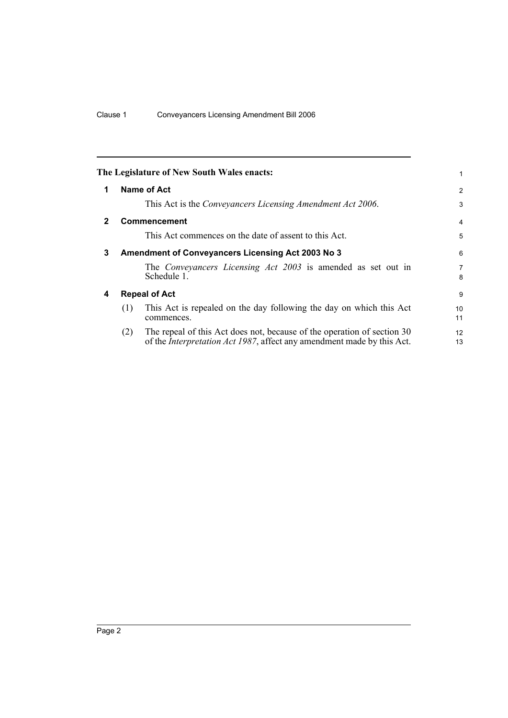|              |                      | The Legislature of New South Wales enacts:                                                                                                                | 1                   |
|--------------|----------------------|-----------------------------------------------------------------------------------------------------------------------------------------------------------|---------------------|
| 1            | Name of Act          |                                                                                                                                                           | $\overline{2}$      |
|              |                      | This Act is the Conveyancers Licensing Amendment Act 2006.                                                                                                | 3                   |
| $\mathbf{2}$ |                      | <b>Commencement</b>                                                                                                                                       | $\overline{4}$      |
|              |                      | This Act commences on the date of assent to this Act.                                                                                                     | 5                   |
| 3            |                      | <b>Amendment of Conveyancers Licensing Act 2003 No 3</b>                                                                                                  | 6                   |
|              |                      | The Conveyancers Licensing Act 2003 is amended as set out in<br>Schedule 1.                                                                               | $\overline{7}$<br>8 |
| 4            | <b>Repeal of Act</b> |                                                                                                                                                           | 9                   |
|              | (1)                  | This Act is repealed on the day following the day on which this Act<br>commences.                                                                         | 10<br>11            |
|              | (2)                  | The repeal of this Act does not, because of the operation of section 30<br>of the <i>Interpretation Act 1987</i> , affect any amendment made by this Act. | 12<br>13            |
|              |                      |                                                                                                                                                           |                     |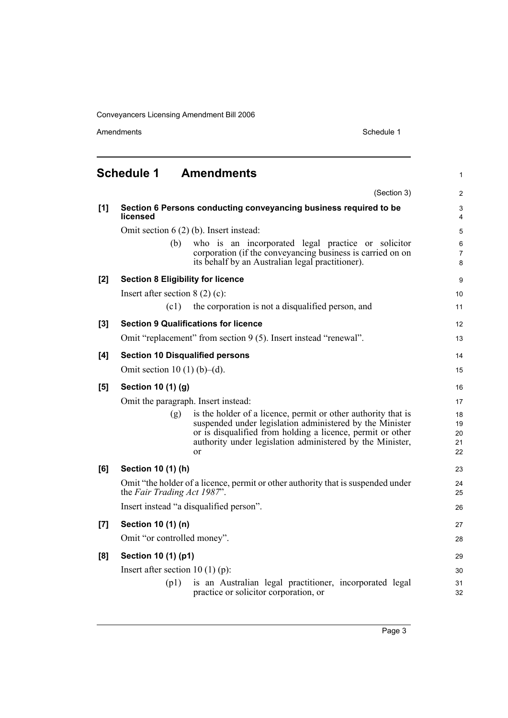|     | <b>Schedule 1</b>                        | <b>Amendments</b>                                                                                                                                                                                                                                          | 1                          |
|-----|------------------------------------------|------------------------------------------------------------------------------------------------------------------------------------------------------------------------------------------------------------------------------------------------------------|----------------------------|
|     |                                          | (Section 3)                                                                                                                                                                                                                                                | $\overline{2}$             |
| [1] | licensed                                 | Section 6 Persons conducting conveyancing business required to be                                                                                                                                                                                          | 3<br>4                     |
|     |                                          | Omit section $6(2)$ (b). Insert instead:                                                                                                                                                                                                                   | 5                          |
|     | (b)                                      | who is an incorporated legal practice or solicitor<br>corporation (if the conveyancing business is carried on on<br>its behalf by an Australian legal practitioner).                                                                                       | 6<br>$\overline{7}$<br>8   |
| [2] | <b>Section 8 Eligibility for licence</b> |                                                                                                                                                                                                                                                            | 9                          |
|     | Insert after section $8(2)(c)$ :         |                                                                                                                                                                                                                                                            | 10                         |
|     | (c1)                                     | the corporation is not a disqualified person, and                                                                                                                                                                                                          | 11                         |
| [3] |                                          | <b>Section 9 Qualifications for licence</b>                                                                                                                                                                                                                | 12                         |
|     |                                          | Omit "replacement" from section 9 (5). Insert instead "renewal".                                                                                                                                                                                           | 13                         |
| [4] | <b>Section 10 Disqualified persons</b>   |                                                                                                                                                                                                                                                            | 14                         |
|     | Omit section 10 (1) (b)–(d).             |                                                                                                                                                                                                                                                            | 15                         |
| [5] | Section 10 (1) (g)                       |                                                                                                                                                                                                                                                            | 16                         |
|     | Omit the paragraph. Insert instead:      |                                                                                                                                                                                                                                                            | 17                         |
|     | (g)                                      | is the holder of a licence, permit or other authority that is<br>suspended under legislation administered by the Minister<br>or is disqualified from holding a licence, permit or other<br>authority under legislation administered by the Minister,<br>or | 18<br>19<br>20<br>21<br>22 |
| [6] | Section 10 (1) (h)                       |                                                                                                                                                                                                                                                            | 23                         |
|     | the Fair Trading Act 1987".              | Omit "the holder of a licence, permit or other authority that is suspended under                                                                                                                                                                           | 24<br>25                   |
|     |                                          | Insert instead "a disqualified person".                                                                                                                                                                                                                    | 26                         |
| [7] | Section 10 (1) (n)                       |                                                                                                                                                                                                                                                            | 27                         |
|     | Omit "or controlled money".              |                                                                                                                                                                                                                                                            | 28                         |
| [8] | Section 10 (1) (p1)                      |                                                                                                                                                                                                                                                            | 29                         |
|     | Insert after section 10 (1) (p):         |                                                                                                                                                                                                                                                            | 30                         |
|     | (p1)                                     | is an Australian legal practitioner, incorporated legal<br>practice or solicitor corporation, or                                                                                                                                                           | 31<br>32                   |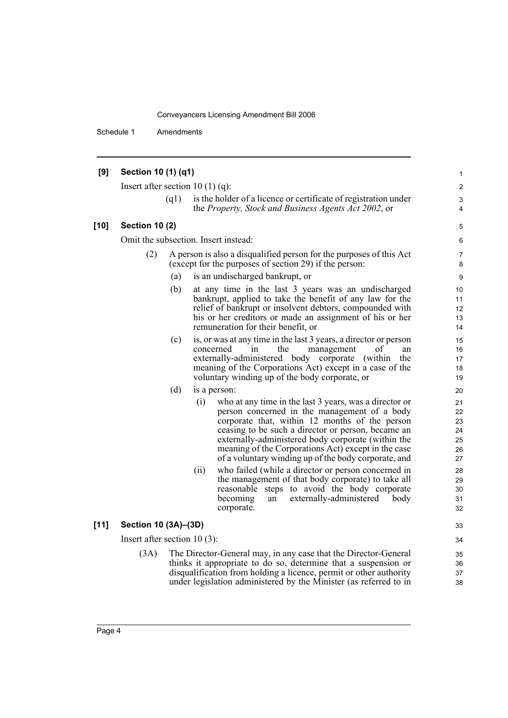Schedule 1 Amendments

#### **[9] Section 10 (1) (q1)** Insert after section 10 (1) (q): (q1) is the holder of a licence or certificate of registration under the *Property, Stock and Business Agents Act 2002*, or **[10] Section 10 (2)** Omit the subsection. Insert instead: (2) A person is also a disqualified person for the purposes of this Act (except for the purposes of section 29) if the person: (a) is an undischarged bankrupt, or (b) at any time in the last 3 years was an undischarged bankrupt, applied to take the benefit of any law for the relief of bankrupt or insolvent debtors, compounded with his or her creditors or made an assignment of his or her remuneration for their benefit, or (c) is, or was at any time in the last 3 years, a director or person concerned in the management of an externally-administered body corporate (within the meaning of the Corporations Act) except in a case of the voluntary winding up of the body corporate, or (d) is a person: (i) who at any time in the last 3 years, was a director or person concerned in the management of a body corporate that, within 12 months of the person ceasing to be such a director or person, became an externally-administered body corporate (within the meaning of the Corporations Act) except in the case of a voluntary winding up of the body corporate, and (ii) who failed (while a director or person concerned in the management of that body corporate) to take all reasonable steps to avoid the body corporate<br>becoming an externally-administered body an externally-administered body corporate. **[11] Section 10 (3A)–(3D)** Insert after section 10 (3): (3A) The Director-General may, in any case that the Director-General thinks it appropriate to do so, determine that a suspension or disqualification from holding a licence, permit or other authority under legislation administered by the Minister (as referred to in 1 2 3 4 5 6 7 8 9 10 11 12 13 14 15 16 17 18 19 20 21 22 23 24 25 26 27 28 29 30 31 32 33  $34$ 35 36 37 38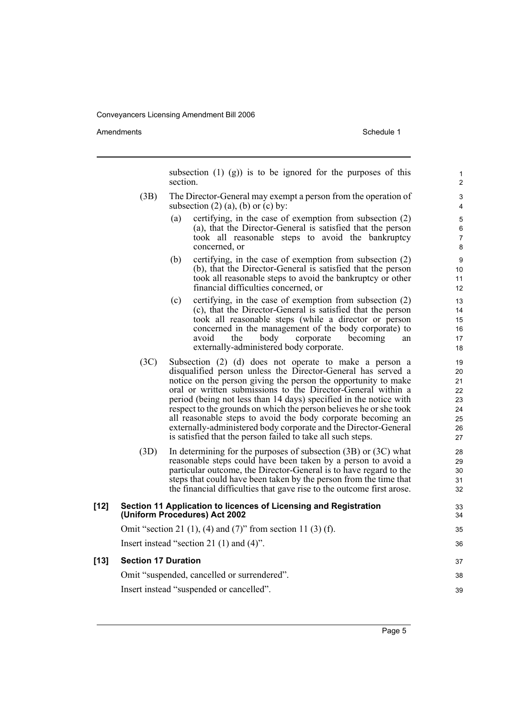Amendments **Amendments** Schedule 1

subsection  $(1)$   $(g)$  is to be ignored for the purposes of this section. (3B) The Director-General may exempt a person from the operation of subsection  $(2)$   $(a)$ ,  $(b)$  or  $(c)$  by: (a) certifying, in the case of exemption from subsection (2) (a), that the Director-General is satisfied that the person took all reasonable steps to avoid the bankruptcy concerned, or (b) certifying, in the case of exemption from subsection (2) (b), that the Director-General is satisfied that the person took all reasonable steps to avoid the bankruptcy or other financial difficulties concerned, or (c) certifying, in the case of exemption from subsection (2) (c), that the Director-General is satisfied that the person took all reasonable steps (while a director or person concerned in the management of the body corporate) to avoid the body corporate becoming an the body corporate becoming an externally-administered body corporate. (3C) Subsection (2) (d) does not operate to make a person a disqualified person unless the Director-General has served a notice on the person giving the person the opportunity to make oral or written submissions to the Director-General within a period (being not less than 14 days) specified in the notice with respect to the grounds on which the person believes he or she took all reasonable steps to avoid the body corporate becoming an externally-administered body corporate and the Director-General is satisfied that the person failed to take all such steps. (3D) In determining for the purposes of subsection (3B) or (3C) what reasonable steps could have been taken by a person to avoid a particular outcome, the Director-General is to have regard to the steps that could have been taken by the person from the time that the financial difficulties that gave rise to the outcome first arose. **[12] Section 11 Application to licences of Licensing and Registration (Uniform Procedures) Act 2002** Omit "section 21 (1), (4) and (7)" from section 11 (3) (f). Insert instead "section 21 (1) and (4)". **[13] Section 17 Duration** Omit "suspended, cancelled or surrendered". Insert instead "suspended or cancelled". 1 2 3 4 5 6 7 8 9 10 11 12 13 14 15 16 17 18 19 20 21 22 23 24 25 26 27 28  $29$ 30 31 32 33 34 35 36 37 38 39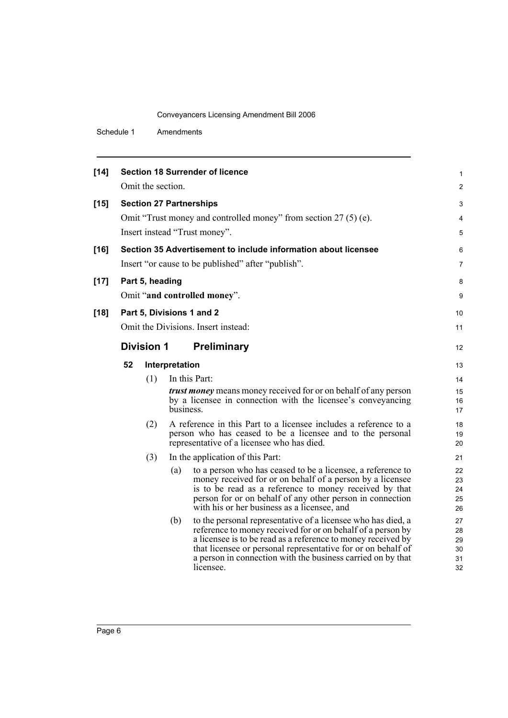Schedule 1 Amendments

| $[14]$ |    |                   |                | <b>Section 18 Surrender of licence</b>                                                                                      | 1        |
|--------|----|-------------------|----------------|-----------------------------------------------------------------------------------------------------------------------------|----------|
|        |    | Omit the section. |                |                                                                                                                             | 2        |
| $[15]$ |    |                   |                | <b>Section 27 Partnerships</b>                                                                                              | 3        |
|        |    |                   |                | Omit "Trust money and controlled money" from section 27 (5) (e).                                                            | 4        |
|        |    |                   |                | Insert instead "Trust money".                                                                                               | 5        |
| $[16]$ |    |                   |                | Section 35 Advertisement to include information about licensee                                                              | 6        |
|        |    |                   |                | Insert "or cause to be published" after "publish".                                                                          | 7        |
| $[17]$ |    | Part 5, heading   |                |                                                                                                                             | 8        |
|        |    |                   |                | Omit "and controlled money".                                                                                                | 9        |
| $[18]$ |    |                   |                | Part 5, Divisions 1 and 2                                                                                                   | 10       |
|        |    |                   |                | Omit the Divisions. Insert instead:                                                                                         | 11       |
|        |    | <b>Division 1</b> |                | <b>Preliminary</b>                                                                                                          | 12       |
|        | 52 |                   | Interpretation |                                                                                                                             | 13       |
|        |    | (1)               |                | In this Part:                                                                                                               | 14       |
|        |    |                   |                | <i>trust money</i> means money received for or on behalf of any person                                                      | 15       |
|        |    |                   |                | by a licensee in connection with the licensee's conveyancing                                                                | 16       |
|        |    |                   | business.      |                                                                                                                             | 17       |
|        |    | (2)               |                | A reference in this Part to a licensee includes a reference to a                                                            | 18       |
|        |    |                   |                | person who has ceased to be a licensee and to the personal<br>representative of a licensee who has died.                    | 19<br>20 |
|        |    | (3)               |                | In the application of this Part:                                                                                            | 21       |
|        |    |                   | (a)            | to a person who has ceased to be a licensee, a reference to                                                                 | 22       |
|        |    |                   |                | money received for or on behalf of a person by a licensee<br>is to be read as a reference to money received by that         | 23<br>24 |
|        |    |                   |                | person for or on behalf of any other person in connection                                                                   | 25       |
|        |    |                   |                | with his or her business as a licensee, and                                                                                 | 26       |
|        |    |                   | (b)            | to the personal representative of a licensee who has died, a                                                                | 27       |
|        |    |                   |                | reference to money received for or on behalf of a person by<br>a licensee is to be read as a reference to money received by | 28<br>29 |
|        |    |                   |                | that licensee or personal representative for or on behalf of                                                                | 30       |
|        |    |                   |                | a person in connection with the business carried on by that<br>licensee.                                                    | 31<br>32 |
|        |    |                   |                |                                                                                                                             |          |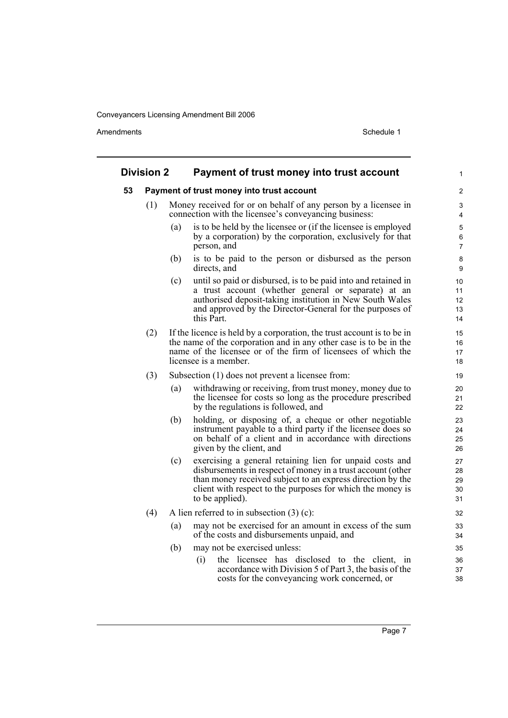|    | <b>Division 2</b> |     | Payment of trust money into trust account                                                                                                                                                                                                                              | 1                          |
|----|-------------------|-----|------------------------------------------------------------------------------------------------------------------------------------------------------------------------------------------------------------------------------------------------------------------------|----------------------------|
| 53 |                   |     | Payment of trust money into trust account                                                                                                                                                                                                                              | 2                          |
|    | (1)               |     | Money received for or on behalf of any person by a licensee in<br>connection with the licensee's conveyancing business:                                                                                                                                                | 3<br>4                     |
|    |                   | (a) | is to be held by the licensee or (if the licensee is employed<br>by a corporation) by the corporation, exclusively for that<br>person, and                                                                                                                             | 5<br>6<br>7                |
|    |                   | (b) | is to be paid to the person or disbursed as the person<br>directs, and                                                                                                                                                                                                 | 8<br>9                     |
|    |                   | (c) | until so paid or disbursed, is to be paid into and retained in<br>a trust account (whether general or separate) at an<br>authorised deposit-taking institution in New South Wales<br>and approved by the Director-General for the purposes of<br>this Part.            | 10<br>11<br>12<br>13<br>14 |
|    | (2)               |     | If the licence is held by a corporation, the trust account is to be in<br>the name of the corporation and in any other case is to be in the<br>name of the licensee or of the firm of licensees of which the<br>licensee is a member.                                  | 15<br>16<br>17<br>18       |
|    | (3)               |     | Subsection (1) does not prevent a licensee from:                                                                                                                                                                                                                       | 19                         |
|    |                   | (a) | withdrawing or receiving, from trust money, money due to<br>the licensee for costs so long as the procedure prescribed<br>by the regulations is followed, and                                                                                                          | 20<br>21<br>22             |
|    |                   | (b) | holding, or disposing of, a cheque or other negotiable<br>instrument payable to a third party if the licensee does so<br>on behalf of a client and in accordance with directions<br>given by the client, and                                                           | 23<br>24<br>25<br>26       |
|    |                   | (c) | exercising a general retaining lien for unpaid costs and<br>disbursements in respect of money in a trust account (other<br>than money received subject to an express direction by the<br>client with respect to the purposes for which the money is<br>to be applied). | 27<br>28<br>29<br>30<br>31 |
|    | (4)               |     | A lien referred to in subsection $(3)$ (c):                                                                                                                                                                                                                            | 32                         |
|    |                   | (a) | may not be exercised for an amount in excess of the sum<br>of the costs and disbursements unpaid, and                                                                                                                                                                  | 33<br>34                   |
|    |                   | (b) | may not be exercised unless:                                                                                                                                                                                                                                           | 35                         |
|    |                   |     | the licensee has disclosed to the client, in<br>(i)<br>accordance with Division 5 of Part 3, the basis of the<br>costs for the conveyancing work concerned, or                                                                                                         | 36<br>37<br>38             |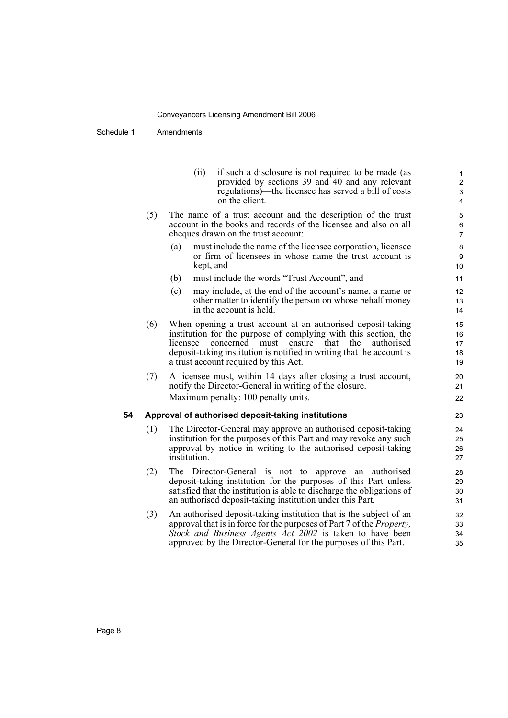Schedule 1 Amendments

|    |     | if such a disclosure is not required to be made (as<br>(ii)<br>provided by sections 39 and 40 and any relevant<br>regulations)—the licensee has served a bill of costs<br>on the client.                                                                                                                      | 1<br>$\overline{c}$<br>$\mathsf 3$<br>$\overline{\mathbf{4}}$ |
|----|-----|---------------------------------------------------------------------------------------------------------------------------------------------------------------------------------------------------------------------------------------------------------------------------------------------------------------|---------------------------------------------------------------|
|    | (5) | The name of a trust account and the description of the trust<br>account in the books and records of the licensee and also on all<br>cheques drawn on the trust account:                                                                                                                                       | 5<br>6<br>$\overline{7}$                                      |
|    |     | must include the name of the licensee corporation, licensee<br>(a)<br>or firm of licensees in whose name the trust account is<br>kept, and                                                                                                                                                                    | 8<br>9<br>10                                                  |
|    |     | must include the words "Trust Account", and<br>(b)                                                                                                                                                                                                                                                            | 11                                                            |
|    |     | (c)<br>may include, at the end of the account's name, a name or<br>other matter to identify the person on whose behalf money<br>in the account is held.                                                                                                                                                       | 12<br>13<br>14                                                |
|    | (6) | When opening a trust account at an authorised deposit-taking<br>institution for the purpose of complying with this section, the<br>concerned must ensure that the<br>licensee<br>authorised<br>deposit-taking institution is notified in writing that the account is<br>a trust account required by this Act. | 15<br>16<br>17<br>18<br>19                                    |
|    | (7) | A licensee must, within 14 days after closing a trust account,<br>notify the Director-General in writing of the closure.<br>Maximum penalty: 100 penalty units.                                                                                                                                               | 20<br>21<br>22                                                |
| 54 |     | Approval of authorised deposit-taking institutions                                                                                                                                                                                                                                                            | 23                                                            |
|    | (1) | The Director-General may approve an authorised deposit-taking<br>institution for the purposes of this Part and may revoke any such<br>approval by notice in writing to the authorised deposit-taking<br>institution.                                                                                          | 24<br>25<br>26<br>27                                          |
|    | (2) | The Director-General is not to approve an<br>authorised<br>deposit-taking institution for the purposes of this Part unless<br>satisfied that the institution is able to discharge the obligations of<br>an authorised deposit-taking institution under this Part.                                             | 28<br>29<br>30<br>31                                          |
|    | (3) | An authorised deposit-taking institution that is the subject of an<br>approval that is in force for the purposes of Part 7 of the <i>Property</i> ,<br>Stock and Business Agents Act 2002 is taken to have been<br>approved by the Director-General for the purposes of this Part.                            | 32<br>33<br>34<br>35                                          |
|    |     |                                                                                                                                                                                                                                                                                                               |                                                               |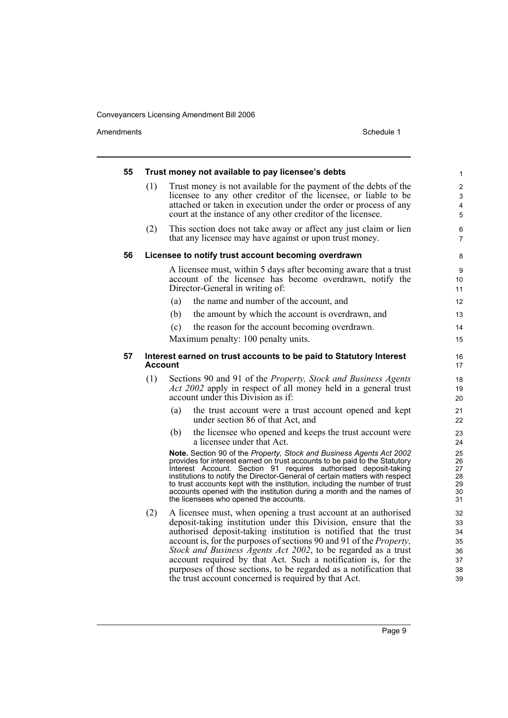| 55 |                | Trust money not available to pay licensee's debts                                                                                                                                                                                                                                                                                                                                                                                                                                                                                                   | 1                                            |
|----|----------------|-----------------------------------------------------------------------------------------------------------------------------------------------------------------------------------------------------------------------------------------------------------------------------------------------------------------------------------------------------------------------------------------------------------------------------------------------------------------------------------------------------------------------------------------------------|----------------------------------------------|
|    | (1)            | Trust money is not available for the payment of the debts of the<br>licensee to any other creditor of the licensee, or liable to be<br>attached or taken in execution under the order or process of any<br>court at the instance of any other creditor of the licensee.                                                                                                                                                                                                                                                                             | 2<br>3<br>4<br>5                             |
|    | (2)            | This section does not take away or affect any just claim or lien<br>that any licensee may have against or upon trust money.                                                                                                                                                                                                                                                                                                                                                                                                                         | 6<br>$\overline{7}$                          |
| 56 |                | Licensee to notify trust account becoming overdrawn                                                                                                                                                                                                                                                                                                                                                                                                                                                                                                 | 8                                            |
|    |                | A licensee must, within 5 days after becoming aware that a trust<br>account of the licensee has become overdrawn, notify the<br>Director-General in writing of:<br>the name and number of the account, and<br>(a)                                                                                                                                                                                                                                                                                                                                   | 9<br>10<br>11<br>12                          |
|    |                | the amount by which the account is overdrawn, and<br>(b)                                                                                                                                                                                                                                                                                                                                                                                                                                                                                            | 13                                           |
|    |                | (c)<br>the reason for the account becoming overdrawn.                                                                                                                                                                                                                                                                                                                                                                                                                                                                                               | 14                                           |
|    |                | Maximum penalty: 100 penalty units.                                                                                                                                                                                                                                                                                                                                                                                                                                                                                                                 | 15                                           |
| 57 | <b>Account</b> | Interest earned on trust accounts to be paid to Statutory Interest                                                                                                                                                                                                                                                                                                                                                                                                                                                                                  | 16<br>17                                     |
|    | (1)            | Sections 90 and 91 of the Property, Stock and Business Agents<br><i>Act 2002</i> apply in respect of all money held in a general trust<br>account under this Division as if:                                                                                                                                                                                                                                                                                                                                                                        | 18<br>19<br>20                               |
|    |                | (a)<br>the trust account were a trust account opened and kept<br>under section 86 of that Act, and                                                                                                                                                                                                                                                                                                                                                                                                                                                  | 21<br>22                                     |
|    |                | the licensee who opened and keeps the trust account were<br>(b)<br>a licensee under that Act.                                                                                                                                                                                                                                                                                                                                                                                                                                                       | 23<br>24                                     |
|    |                | Note. Section 90 of the Property, Stock and Business Agents Act 2002<br>provides for interest earned on trust accounts to be paid to the Statutory<br>Interest Account. Section 91 requires authorised deposit-taking<br>institutions to notify the Director-General of certain matters with respect<br>to trust accounts kept with the institution, including the number of trust<br>accounts opened with the institution during a month and the names of<br>the licensees who opened the accounts.                                                | 25<br>26<br>27<br>28<br>29<br>30<br>31       |
|    | (2)            | A licensee must, when opening a trust account at an authorised<br>deposit-taking institution under this Division, ensure that the<br>authorised deposit-taking institution is notified that the trust<br>account is, for the purposes of sections 90 and 91 of the <i>Property</i> ,<br>Stock and Business Agents Act 2002, to be regarded as a trust<br>account required by that Act. Such a notification is, for the<br>purposes of those sections, to be regarded as a notification that<br>the trust account concerned is required by that Act. | 32<br>33<br>34<br>35<br>36<br>37<br>38<br>39 |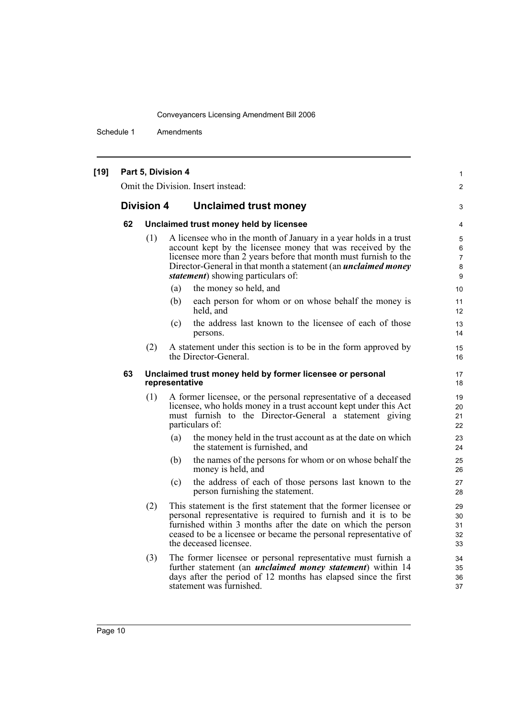Schedule 1 Amendments

#### **[19] Part 5, Division 4** Omit the Division. Insert instead: **Division 4 Unclaimed trust money 62 Unclaimed trust money held by licensee** (1) A licensee who in the month of January in a year holds in a trust account kept by the licensee money that was received by the licensee more than 2 years before that month must furnish to the Director-General in that month a statement (an *unclaimed money statement*) showing particulars of: (a) the money so held, and (b) each person for whom or on whose behalf the money is held, and (c) the address last known to the licensee of each of those persons. (2) A statement under this section is to be in the form approved by the Director-General. **63 Unclaimed trust money held by former licensee or personal representative** (1) A former licensee, or the personal representative of a deceased licensee, who holds money in a trust account kept under this Act must furnish to the Director-General a statement giving particulars of: (a) the money held in the trust account as at the date on which the statement is furnished, and (b) the names of the persons for whom or on whose behalf the money is held, and (c) the address of each of those persons last known to the person furnishing the statement. (2) This statement is the first statement that the former licensee or personal representative is required to furnish and it is to be furnished within 3 months after the date on which the person ceased to be a licensee or became the personal representative of the deceased licensee. (3) The former licensee or personal representative must furnish a further statement (an *unclaimed money statement*) within 14 days after the period of 12 months has elapsed since the first statement was furnished. 1  $\mathfrak{p}$ 3 4 5 6 7 8 9 10 11 12 13 14 15 16 17 18 19 20 21 22 23 24 25 26 27 28 29 30 31 32 33 34 35 36 37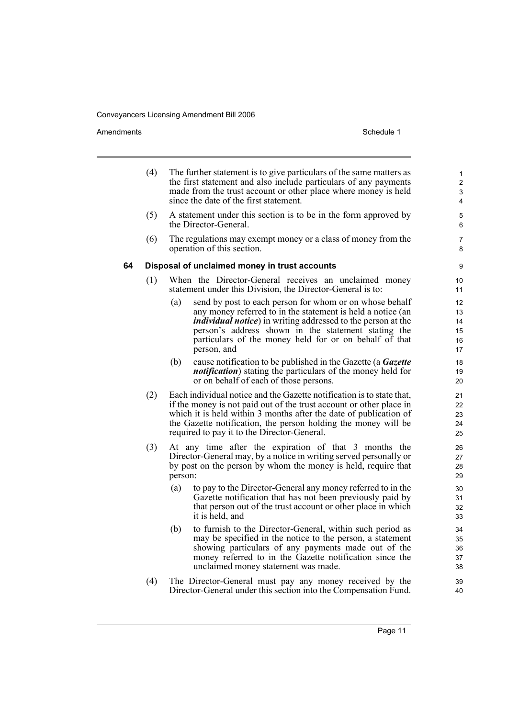Amendments Schedule 1

39 40

|    | (4) |         | The further statement is to give particulars of the same matters as<br>the first statement and also include particulars of any payments<br>made from the trust account or other place where money is held<br>since the date of the first statement.                                                                                | $\mathbf{1}$<br>2<br>3<br>4      |
|----|-----|---------|------------------------------------------------------------------------------------------------------------------------------------------------------------------------------------------------------------------------------------------------------------------------------------------------------------------------------------|----------------------------------|
|    | (5) |         | A statement under this section is to be in the form approved by<br>the Director-General.                                                                                                                                                                                                                                           | 5<br>6                           |
|    | (6) |         | The regulations may exempt money or a class of money from the<br>operation of this section.                                                                                                                                                                                                                                        | 7<br>8                           |
| 64 |     |         | Disposal of unclaimed money in trust accounts                                                                                                                                                                                                                                                                                      | 9                                |
|    | (1) |         | When the Director-General receives an unclaimed money<br>statement under this Division, the Director-General is to:                                                                                                                                                                                                                | 10<br>11                         |
|    |     | (a)     | send by post to each person for whom or on whose behalf<br>any money referred to in the statement is held a notice (an<br><i>individual notice</i> ) in writing addressed to the person at the<br>person's address shown in the statement stating the<br>particulars of the money held for or on behalf of that<br>person, and     | 12<br>13<br>14<br>15<br>16<br>17 |
|    |     | (b)     | cause notification to be published in the Gazette (a <b>Gazette</b><br><i>notification</i> ) stating the particulars of the money held for<br>or on behalf of each of those persons.                                                                                                                                               | 18<br>19<br>20                   |
|    | (2) |         | Each individual notice and the Gazette notification is to state that,<br>if the money is not paid out of the trust account or other place in<br>which it is held within 3 months after the date of publication of<br>the Gazette notification, the person holding the money will be<br>required to pay it to the Director-General. | 21<br>22<br>23<br>24<br>25       |
|    | (3) | person: | At any time after the expiration of that 3 months the<br>Director-General may, by a notice in writing served personally or<br>by post on the person by whom the money is held, require that                                                                                                                                        | 26<br>27<br>28<br>29             |
|    |     | (a)     | to pay to the Director-General any money referred to in the<br>Gazette notification that has not been previously paid by<br>that person out of the trust account or other place in which<br>it is held, and                                                                                                                        | 30<br>31<br>32<br>33             |
|    |     | (b)     | to furnish to the Director-General, within such period as<br>may be specified in the notice to the person, a statement<br>showing particulars of any payments made out of the<br>money referred to in the Gazette notification since the<br>unclaimed money statement was made.                                                    | 34<br>35<br>36<br>37<br>38       |

(4) The Director-General must pay any money received by the Director-General under this section into the Compensation Fund.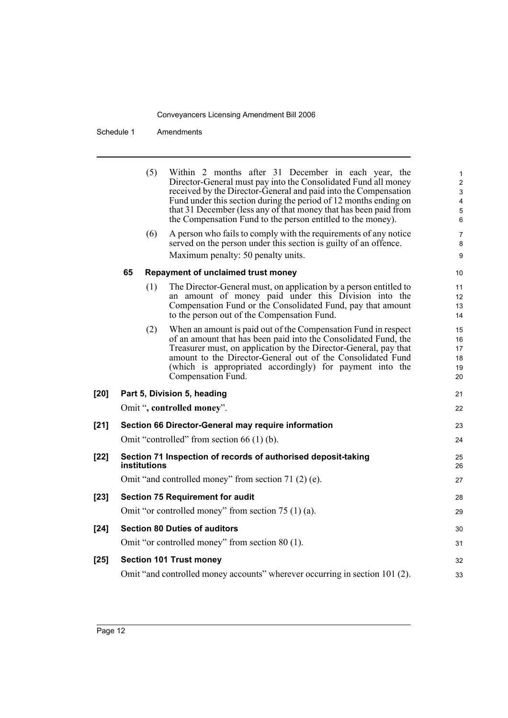Schedule 1 Amendments

|        |    | (5)          | Within 2 months after 31 December in each year, the<br>Director-General must pay into the Consolidated Fund all money<br>received by the Director-General and paid into the Compensation<br>Fund under this section during the period of 12 months ending on<br>that 31 December (less any of that money that has been paid from<br>the Compensation Fund to the person entitled to the money). | $\mathbf{1}$<br>$\overline{2}$<br>3<br>4<br>5<br>6 |
|--------|----|--------------|-------------------------------------------------------------------------------------------------------------------------------------------------------------------------------------------------------------------------------------------------------------------------------------------------------------------------------------------------------------------------------------------------|----------------------------------------------------|
|        |    | (6)          | A person who fails to comply with the requirements of any notice<br>served on the person under this section is guilty of an offence.                                                                                                                                                                                                                                                            | 7<br>8                                             |
|        |    |              | Maximum penalty: 50 penalty units.                                                                                                                                                                                                                                                                                                                                                              | 9                                                  |
|        | 65 |              | Repayment of unclaimed trust money                                                                                                                                                                                                                                                                                                                                                              | 10                                                 |
|        |    | (1)          | The Director-General must, on application by a person entitled to<br>an amount of money paid under this Division into the<br>Compensation Fund or the Consolidated Fund, pay that amount<br>to the person out of the Compensation Fund.                                                                                                                                                         | 11<br>12<br>13<br>14                               |
|        |    | (2)          | When an amount is paid out of the Compensation Fund in respect<br>of an amount that has been paid into the Consolidated Fund, the<br>Treasurer must, on application by the Director-General, pay that<br>amount to the Director-General out of the Consolidated Fund<br>(which is appropriated accordingly) for payment into the<br>Compensation Fund.                                          | 15<br>16<br>17<br>18<br>19<br>20                   |
| $[20]$ |    |              | Part 5, Division 5, heading                                                                                                                                                                                                                                                                                                                                                                     | 21                                                 |
|        |    |              | Omit ", controlled money".                                                                                                                                                                                                                                                                                                                                                                      | 22                                                 |
| $[21]$ |    |              | Section 66 Director-General may require information                                                                                                                                                                                                                                                                                                                                             | 23                                                 |
|        |    |              | Omit "controlled" from section $66(1)$ (b).                                                                                                                                                                                                                                                                                                                                                     | 24                                                 |
| $[22]$ |    | institutions | Section 71 Inspection of records of authorised deposit-taking                                                                                                                                                                                                                                                                                                                                   | 25<br>26                                           |
|        |    |              | Omit "and controlled money" from section 71 (2) (e).                                                                                                                                                                                                                                                                                                                                            | 27                                                 |
| $[23]$ |    |              | <b>Section 75 Requirement for audit</b>                                                                                                                                                                                                                                                                                                                                                         | 28                                                 |
|        |    |              | Omit "or controlled money" from section $75(1)(a)$ .                                                                                                                                                                                                                                                                                                                                            | 29                                                 |
| $[24]$ |    |              | <b>Section 80 Duties of auditors</b>                                                                                                                                                                                                                                                                                                                                                            | 30                                                 |
|        |    |              | Omit "or controlled money" from section 80 (1).                                                                                                                                                                                                                                                                                                                                                 | 31                                                 |
| $[25]$ |    |              | <b>Section 101 Trust money</b>                                                                                                                                                                                                                                                                                                                                                                  | 32                                                 |
|        |    |              | Omit "and controlled money accounts" wherever occurring in section 101 (2).                                                                                                                                                                                                                                                                                                                     | 33                                                 |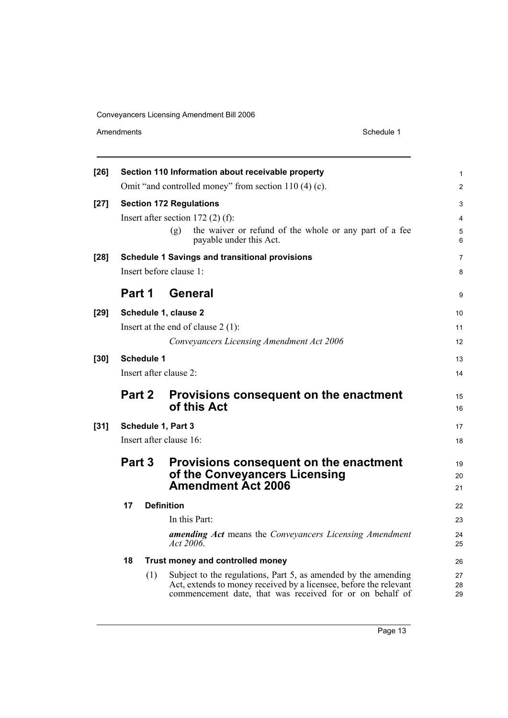| $[26]$ |                   | Section 110 Information about receivable property                                        | 1              |
|--------|-------------------|------------------------------------------------------------------------------------------|----------------|
|        |                   | Omit "and controlled money" from section 110 (4) (c).                                    | $\overline{2}$ |
| $[27]$ |                   | <b>Section 172 Regulations</b>                                                           | 3              |
|        |                   | Insert after section $172(2)$ (f):                                                       | 4              |
|        |                   | the waiver or refund of the whole or any part of a fee<br>(g)<br>payable under this Act. | 5<br>6         |
| $[28]$ |                   | <b>Schedule 1 Savings and transitional provisions</b>                                    | 7              |
|        |                   | Insert before clause 1:                                                                  | 8              |
|        | Part 1            | <b>General</b>                                                                           | 9              |
| $[29]$ |                   | Schedule 1, clause 2                                                                     | 10             |
|        |                   | Insert at the end of clause $2(1)$ :                                                     | 11             |
|        |                   | Conveyancers Licensing Amendment Act 2006                                                | 12             |
| $[30]$ | <b>Schedule 1</b> |                                                                                          | 13             |
|        |                   |                                                                                          |                |
|        |                   | Insert after clause 2:                                                                   | 14             |
|        | Part 2            | Provisions consequent on the enactment<br>of this Act                                    | 15<br>16       |
|        |                   |                                                                                          | 17             |
| $[31]$ |                   | Schedule 1, Part 3<br>Insert after clause 16:                                            | 18             |
|        |                   |                                                                                          |                |
|        | Part 3            | Provisions consequent on the enactment                                                   | 19<br>20       |
|        |                   | of the Conveyancers Licensing<br><b>Amendment Act 2006</b>                               | 21             |
|        | 17                | <b>Definition</b>                                                                        | 22             |
|        |                   | In this Part:                                                                            | 23             |
|        |                   | <b>amending Act</b> means the Conveyancers Licensing Amendment<br>Act 2006.              | 24<br>25       |
|        | 18                | Trust money and controlled money                                                         | 26             |